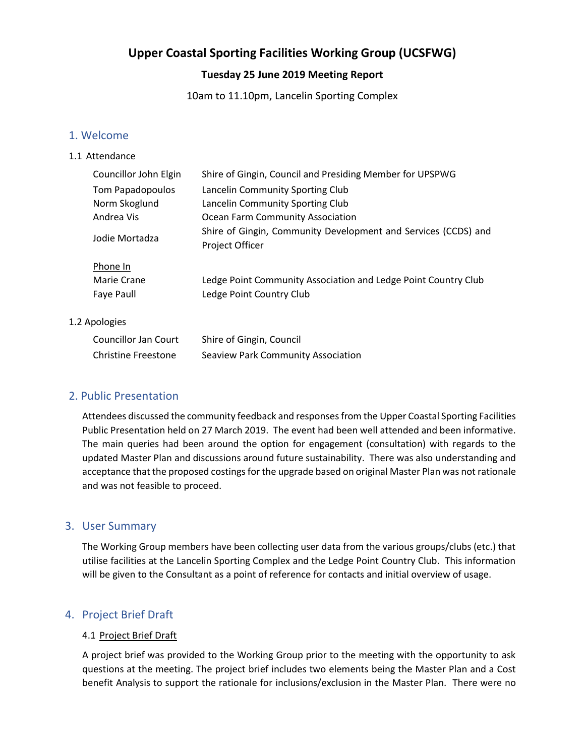# **Upper Coastal Sporting Facilities Working Group (UCSFWG)**

# **Tuesday 25 June 2019 Meeting Report**

10am to 11.10pm, Lancelin Sporting Complex

### 1. Welcome

#### 1.1 Attendance

| Councillor John Elgin                 | Shire of Gingin, Council and Presiding Member for UPSPWG                                   |
|---------------------------------------|--------------------------------------------------------------------------------------------|
| Tom Papadopoulos                      | Lancelin Community Sporting Club                                                           |
| Norm Skoglund                         | Lancelin Community Sporting Club                                                           |
| Andrea Vis                            | Ocean Farm Community Association                                                           |
| Jodie Mortadza                        | Shire of Gingin, Community Development and Services (CCDS) and<br>Project Officer          |
| Phone In<br>Marie Crane<br>Faye Paull | Ledge Point Community Association and Ledge Point Country Club<br>Ledge Point Country Club |

### 1.2 Apologies

| Councillor Jan Court | Shire of Gingin, Council           |
|----------------------|------------------------------------|
| Christine Freestone  | Seaview Park Community Association |

# 2. Public Presentation

Attendees discussed the community feedback and responses from the Upper Coastal Sporting Facilities Public Presentation held on 27 March 2019. The event had been well attended and been informative. The main queries had been around the option for engagement (consultation) with regards to the updated Master Plan and discussions around future sustainability. There was also understanding and acceptance that the proposed costings for the upgrade based on original Master Plan was not rationale and was not feasible to proceed.

# 3. User Summary

The Working Group members have been collecting user data from the various groups/clubs (etc.) that utilise facilities at the Lancelin Sporting Complex and the Ledge Point Country Club. This information will be given to the Consultant as a point of reference for contacts and initial overview of usage.

# 4. Project Brief Draft

#### 4.1 Project Brief Draft

A project brief was provided to the Working Group prior to the meeting with the opportunity to ask questions at the meeting. The project brief includes two elements being the Master Plan and a Cost benefit Analysis to support the rationale for inclusions/exclusion in the Master Plan. There were no